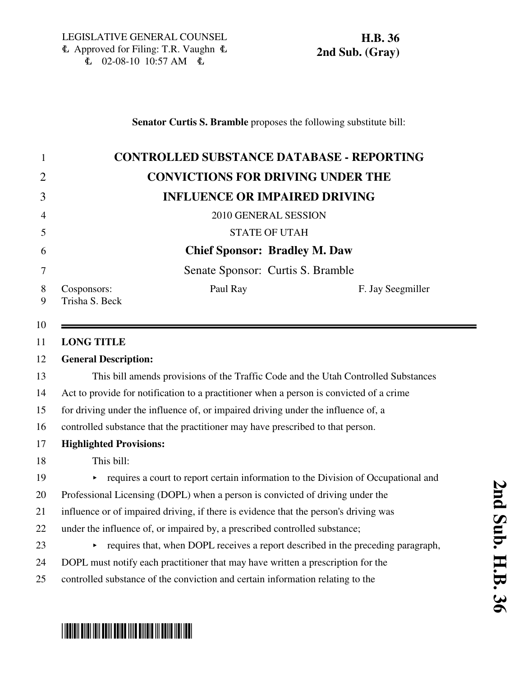## **Senator Curtis S. Bramble** proposes the following substitute bill:

| <b>CONTROLLED SUBSTANCE DATABASE - REPORTING</b>                                        |                                                                                      |  |  |  |             |                                   |                   |
|-----------------------------------------------------------------------------------------|--------------------------------------------------------------------------------------|--|--|--|-------------|-----------------------------------|-------------------|
| <b>CONVICTIONS FOR DRIVING UNDER THE</b>                                                |                                                                                      |  |  |  |             |                                   |                   |
|                                                                                         | <b>INFLUENCE OR IMPAIRED DRIVING</b>                                                 |  |  |  |             |                                   |                   |
| 2010 GENERAL SESSION<br><b>STATE OF UTAH</b><br><b>Chief Sponsor: Bradley M. Daw</b>    |                                                                                      |  |  |  |             |                                   |                   |
|                                                                                         |                                                                                      |  |  |  |             | Senate Sponsor: Curtis S. Bramble |                   |
|                                                                                         |                                                                                      |  |  |  | Cosponsors: | Paul Ray                          | F. Jay Seegmiller |
| Trisha S. Beck                                                                          |                                                                                      |  |  |  |             |                                   |                   |
|                                                                                         |                                                                                      |  |  |  |             |                                   |                   |
| <b>LONG TITLE</b>                                                                       |                                                                                      |  |  |  |             |                                   |                   |
| <b>General Description:</b>                                                             |                                                                                      |  |  |  |             |                                   |                   |
|                                                                                         | This bill amends provisions of the Traffic Code and the Utah Controlled Substances   |  |  |  |             |                                   |                   |
| Act to provide for notification to a practitioner when a person is convicted of a crime |                                                                                      |  |  |  |             |                                   |                   |
| for driving under the influence of, or impaired driving under the influence of, a       |                                                                                      |  |  |  |             |                                   |                   |
| controlled substance that the practitioner may have prescribed to that person.          |                                                                                      |  |  |  |             |                                   |                   |
| <b>Highlighted Provisions:</b>                                                          |                                                                                      |  |  |  |             |                                   |                   |
| This bill:                                                                              |                                                                                      |  |  |  |             |                                   |                   |
|                                                                                         | requires a court to report certain information to the Division of Occupational and   |  |  |  |             |                                   |                   |
|                                                                                         | Professional Licensing (DOPL) when a person is convicted of driving under the        |  |  |  |             |                                   |                   |
|                                                                                         | influence or of impaired driving, if there is evidence that the person's driving was |  |  |  |             |                                   |                   |
|                                                                                         | under the influence of, or impaired by, a prescribed controlled substance;           |  |  |  |             |                                   |                   |
|                                                                                         | requires that, when DOPL receives a report described in the preceding paragraph,     |  |  |  |             |                                   |                   |
| DOPL must notify each practitioner that may have written a prescription for the         |                                                                                      |  |  |  |             |                                   |                   |
|                                                                                         | controlled substance of the conviction and certain information relating to the       |  |  |  |             |                                   |                   |

# \*HB0036S02\*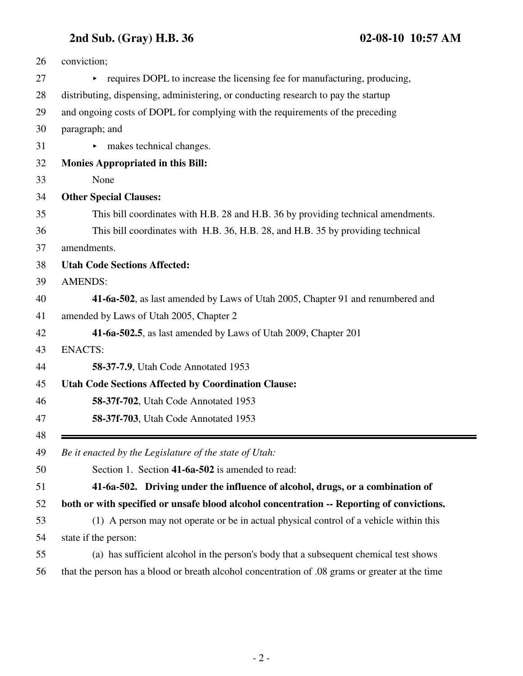## **2nd Sub. (Gray) H.B. 36 02-08-10 10:57 AM**

| 26       | conviction;                                                                                                                                                          |  |  |  |  |  |
|----------|----------------------------------------------------------------------------------------------------------------------------------------------------------------------|--|--|--|--|--|
| 27       | requires DOPL to increase the licensing fee for manufacturing, producing,                                                                                            |  |  |  |  |  |
| 28       | distributing, dispensing, administering, or conducting research to pay the startup<br>and ongoing costs of DOPL for complying with the requirements of the preceding |  |  |  |  |  |
| 29       |                                                                                                                                                                      |  |  |  |  |  |
| 30       | paragraph; and                                                                                                                                                       |  |  |  |  |  |
| 31       | makes technical changes.                                                                                                                                             |  |  |  |  |  |
| 32       | <b>Monies Appropriated in this Bill:</b>                                                                                                                             |  |  |  |  |  |
| 33       | None                                                                                                                                                                 |  |  |  |  |  |
| 34       | <b>Other Special Clauses:</b>                                                                                                                                        |  |  |  |  |  |
| 35       | This bill coordinates with H.B. 28 and H.B. 36 by providing technical amendments.                                                                                    |  |  |  |  |  |
| 36       | This bill coordinates with H.B. 36, H.B. 28, and H.B. 35 by providing technical                                                                                      |  |  |  |  |  |
| 37       | amendments.                                                                                                                                                          |  |  |  |  |  |
| 38       | <b>Utah Code Sections Affected:</b>                                                                                                                                  |  |  |  |  |  |
| 39       | <b>AMENDS:</b>                                                                                                                                                       |  |  |  |  |  |
| 40       | 41-6a-502, as last amended by Laws of Utah 2005, Chapter 91 and renumbered and                                                                                       |  |  |  |  |  |
| 41       | amended by Laws of Utah 2005, Chapter 2                                                                                                                              |  |  |  |  |  |
| 42       | 41-6a-502.5, as last amended by Laws of Utah 2009, Chapter 201                                                                                                       |  |  |  |  |  |
| 43       | <b>ENACTS:</b>                                                                                                                                                       |  |  |  |  |  |
| 44       | <b>58-37-7.9.</b> Utah Code Annotated 1953                                                                                                                           |  |  |  |  |  |
| 45       | <b>Utah Code Sections Affected by Coordination Clause:</b>                                                                                                           |  |  |  |  |  |
| 46       | <b>58-37f-702, Utah Code Annotated 1953</b>                                                                                                                          |  |  |  |  |  |
| 47       | 58-37f-703, Utah Code Annotated 1953                                                                                                                                 |  |  |  |  |  |
| 48<br>49 | Be it enacted by the Legislature of the state of Utah:                                                                                                               |  |  |  |  |  |
| 50       | Section 1. Section 41-6a-502 is amended to read:                                                                                                                     |  |  |  |  |  |
| 51       | 41-6a-502. Driving under the influence of alcohol, drugs, or a combination of                                                                                        |  |  |  |  |  |
| 52       | both or with specified or unsafe blood alcohol concentration -- Reporting of convictions.                                                                            |  |  |  |  |  |
| 53       | (1) A person may not operate or be in actual physical control of a vehicle within this                                                                               |  |  |  |  |  |
| 54       | state if the person:                                                                                                                                                 |  |  |  |  |  |
| 55       | (a) has sufficient alcohol in the person's body that a subsequent chemical test shows                                                                                |  |  |  |  |  |
| 56       | that the person has a blood or breath alcohol concentration of .08 grams or greater at the time                                                                      |  |  |  |  |  |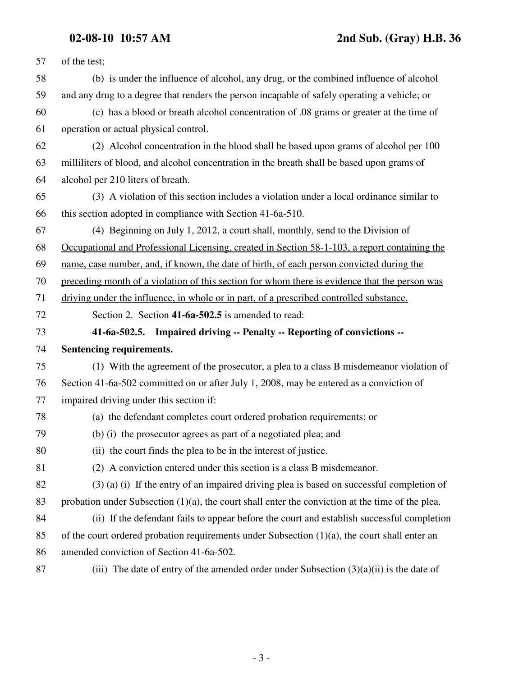| 57 | of the test;                                                                                        |
|----|-----------------------------------------------------------------------------------------------------|
| 58 | (b) is under the influence of alcohol, any drug, or the combined influence of alcohol               |
| 59 | and any drug to a degree that renders the person incapable of safely operating a vehicle; or        |
| 60 | (c) has a blood or breath alcohol concentration of 0.08 grams or greater at the time of             |
| 61 | operation or actual physical control.                                                               |
| 62 | (2) Alcohol concentration in the blood shall be based upon grams of alcohol per 100                 |
| 63 | millilitiers of blood, and alcohol concentration in the breath shall be based upon grams of         |
| 64 | alcohol per 210 liters of breath.                                                                   |
| 65 | (3) A violation of this section includes a violation under a local ordinance similar to             |
| 66 | this section adopted in compliance with Section 41-6a-510.                                          |
| 67 | (4) Beginning on July 1, 2012, a court shall, monthly, send to the Division of                      |
| 68 | Occupational and Professional Licensing, created in Section 58-1-103, a report containing the       |
| 69 | name, case number, and, if known, the date of birth, of each person convicted during the            |
| 70 | preceding month of a violation of this section for whom there is evidence that the person was       |
| 71 | driving under the influence, in whole or in part, of a prescribed controlled substance.             |
| 72 | Section 2. Section 41-6a-502.5 is amended to read:                                                  |
| 73 | 41-6a-502.5. Impaired driving -- Penalty -- Reporting of convictions --                             |
| 74 | Sentencing requirements.                                                                            |
| 75 | (1) With the agreement of the prosecutor, a plea to a class B misdemeanor violation of              |
| 76 | Section 41-6a-502 committed on or after July 1, 2008, may be entered as a conviction of             |
| 77 | impaired driving under this section if:                                                             |
| 78 | (a) the defendant completes court ordered probation requirements; or                                |
| 79 | (b) (i) the prosecutor agrees as part of a negotiated plea; and                                     |
| 80 | (ii) the court finds the plea to be in the interest of justice.                                     |
| 81 | (2) A conviction entered under this section is a class B misdemeanor.                               |
| 82 | $(3)$ (a) (i) If the entry of an impaired driving plea is based on successful completion of         |
| 83 | probation under Subsection $(1)(a)$ , the court shall enter the conviction at the time of the plea. |
| 84 | (ii) If the defendant fails to appear before the court and establish successful completion          |
| 85 | of the court ordered probation requirements under Subsection (1)(a), the court shall enter an       |
| 86 | amended conviction of Section 41-6a-502.                                                            |
| 87 | (iii) The date of entry of the amended order under Subsection $(3)(a)(ii)$ is the date of           |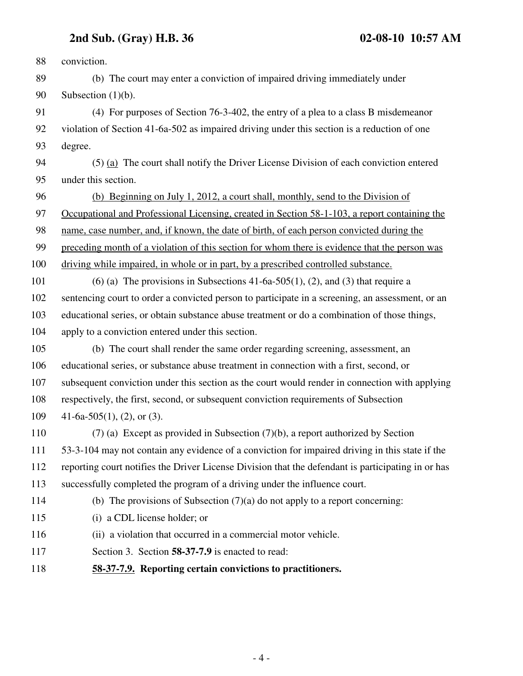## **2nd Sub. (Gray) H.B. 36 02-08-10 10:57 AM**

88 conviction. 89 (b) The court may enter a conviction of impaired driving immediately under 90 Subsection (1)(b). 91 (4) For purposes of Section 76-3-402, the entry of a plea to a class B misdemeanor 92 violation of Section 41-6a-502 as impaired driving under this section is a reduction of one 93 degree. 94 (5) (a) The court shall notify the Driver License Division of each conviction entered 95 under this section. 96 (b) Beginning on July 1, 2012, a court shall, monthly, send to the Division of 97 Occupational and Professional Licensing, created in Section 58-1-103, a report containing the 98 name, case number, and, if known, the date of birth, of each person convicted during the 99 preceding month of a violation of this section for whom there is evidence that the person was 100 driving while impaired, in whole or in part, by a prescribed controlled substance. 101 (6) (a) The provisions in Subsections 41-6a-505(1), (2), and (3) that require a 102 sentencing court to order a convicted person to participate in a screening, an assessment, or an 103 educational series, or obtain substance abuse treatment or do a combination of those things, 104 apply to a conviction entered under this section. 105 (b) The court shall render the same order regarding screening, assessment, an 106 educational series, or substance abuse treatment in connection with a first, second, or 107 subsequent conviction under this section as the court would render in connection with applying 108 respectively, the first, second, or subsequent conviction requirements of Subsection 109 41-6a-505(1), (2), or (3). 110 (7) (a) Except as provided in Subsection (7)(b), a report authorized by Section 111 53-3-104 may not contain any evidence of a conviction for impaired driving in this state if the 112 reporting court notifies the Driver License Division that the defendant is participating in or has 113 successfully completed the program of a driving under the influence court. 114 (b) The provisions of Subsection (7)(a) do not apply to a report concerning: 115 (i) a CDL license holder; or 116 (ii) a violation that occurred in a commercial motor vehicle. 117 Section 3. Section **58-37-7.9** is enacted to read: 118 **58-37-7.9. Reporting certain convictions to practitioners.**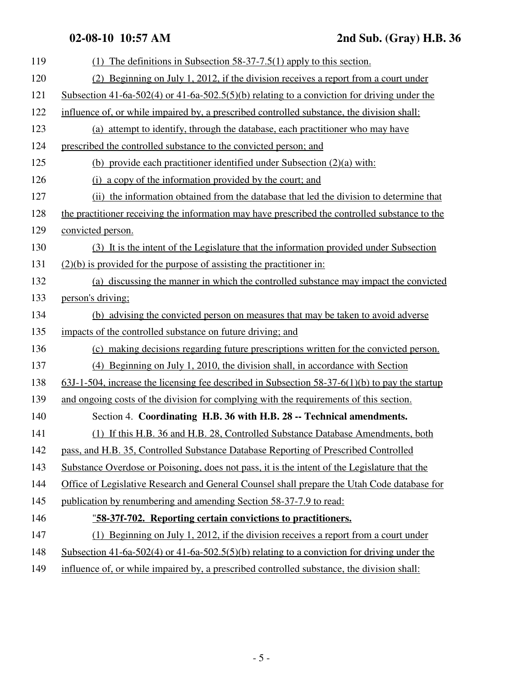| 119 | (1) The definitions in Subsection $58-37-7.5(1)$ apply to this section.                           |
|-----|---------------------------------------------------------------------------------------------------|
| 120 | (2) Beginning on July 1, 2012, if the division receives a report from a court under               |
| 121 | Subsection 41-6a-502(4) or 41-6a-502.5(5)(b) relating to a conviction for driving under the       |
| 122 | influence of, or while impaired by, a prescribed controlled substance, the division shall:        |
| 123 | (a) attempt to identify, through the database, each practitioner who may have                     |
| 124 | prescribed the controlled substance to the convicted person; and                                  |
| 125 | (b) provide each practitioner identified under Subsection $(2)(a)$ with:                          |
| 126 | (i) a copy of the information provided by the court; and                                          |
| 127 | (ii) the information obtained from the database that led the division to determine that           |
| 128 | the practitioner receiving the information may have prescribed the controlled substance to the    |
| 129 | convicted person.                                                                                 |
| 130 | (3) It is the intent of the Legislature that the information provided under Subsection            |
| 131 | $(2)(b)$ is provided for the purpose of assisting the practitioner in:                            |
| 132 | (a) discussing the manner in which the controlled substance may impact the convicted              |
| 133 | person's driving;                                                                                 |
| 134 | (b) advising the convicted person on measures that may be taken to avoid adverse                  |
| 135 | impacts of the controlled substance on future driving; and                                        |
| 136 | (c) making decisions regarding future prescriptions written for the convicted person.             |
| 137 | (4) Beginning on July 1, 2010, the division shall, in accordance with Section                     |
| 138 | $63J-1-504$ , increase the licensing fee described in Subsection 58-37-6(1)(b) to pay the startup |
| 139 | and ongoing costs of the division for complying with the requirements of this section.            |
| 140 | Section 4. Coordinating H.B. 36 with H.B. 28 -- Technical amendments.                             |
| 141 | (1) If this H.B. 36 and H.B. 28, Controlled Substance Database Amendments, both                   |
| 142 | pass, and H.B. 35, Controlled Substance Database Reporting of Prescribed Controlled               |
| 143 | Substance Overdose or Poisoning, does not pass, it is the intent of the Legislature that the      |
| 144 | Office of Legislative Research and General Counsel shall prepare the Utah Code database for       |
| 145 | publication by renumbering and amending Section 58-37-7.9 to read:                                |
| 146 | "58-37f-702. Reporting certain convictions to practitioners.                                      |
| 147 | (1) Beginning on July 1, 2012, if the division receives a report from a court under               |
| 148 | Subsection 41-6a-502(4) or 41-6a-502.5(5)(b) relating to a conviction for driving under the       |
| 149 | influence of, or while impaired by, a prescribed controlled substance, the division shall:        |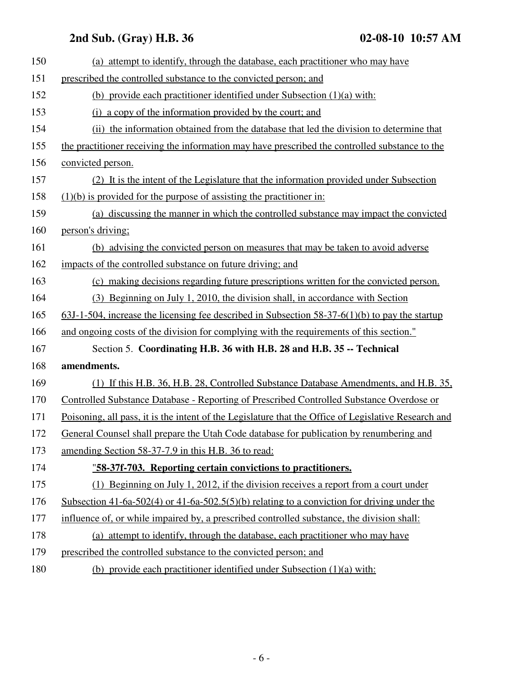## **2nd Sub. (Gray) H.B. 36 02-08-10 10:57 AM**

| (a) attempt to identify, through the database, each practitioner who may have                        |
|------------------------------------------------------------------------------------------------------|
| prescribed the controlled substance to the convicted person; and                                     |
| (b) provide each practitioner identified under Subsection $(1)(a)$ with:                             |
| (i) a copy of the information provided by the court; and                                             |
| (ii) the information obtained from the database that led the division to determine that              |
| the practitioner receiving the information may have prescribed the controlled substance to the       |
| convicted person.                                                                                    |
| (2) It is the intent of the Legislature that the information provided under Subsection               |
| $(1)(b)$ is provided for the purpose of assisting the practitioner in:                               |
| (a) discussing the manner in which the controlled substance may impact the convicted                 |
| person's driving;                                                                                    |
| (b) advising the convicted person on measures that may be taken to avoid adverse                     |
| impacts of the controlled substance on future driving; and                                           |
| (c) making decisions regarding future prescriptions written for the convicted person.                |
| (3) Beginning on July 1, 2010, the division shall, in accordance with Section                        |
| $63J-1-504$ , increase the licensing fee described in Subsection 58-37-6(1)(b) to pay the startup    |
| and ongoing costs of the division for complying with the requirements of this section."              |
| Section 5. Coordinating H.B. 36 with H.B. 28 and H.B. 35 -- Technical                                |
| amendments.                                                                                          |
| (1) If this H.B. 36, H.B. 28, Controlled Substance Database Amendments, and H.B. 35,                 |
| Controlled Substance Database - Reporting of Prescribed Controlled Substance Overdose or             |
| Poisoning, all pass, it is the intent of the Legislature that the Office of Legislative Research and |
| General Counsel shall prepare the Utah Code database for publication by renumbering and              |
| amending Section 58-37-7.9 in this H.B. 36 to read:                                                  |
| "58-37f-703. Reporting certain convictions to practitioners.                                         |
| (1) Beginning on July 1, 2012, if the division receives a report from a court under                  |
| Subsection 41-6a-502(4) or 41-6a-502.5(5)(b) relating to a conviction for driving under the          |
| influence of, or while impaired by, a prescribed controlled substance, the division shall:           |
| (a) attempt to identify, through the database, each practitioner who may have                        |
| prescribed the controlled substance to the convicted person; and                                     |
|                                                                                                      |

180 (b) provide each practitioner identified under Subsection (1)(a) with: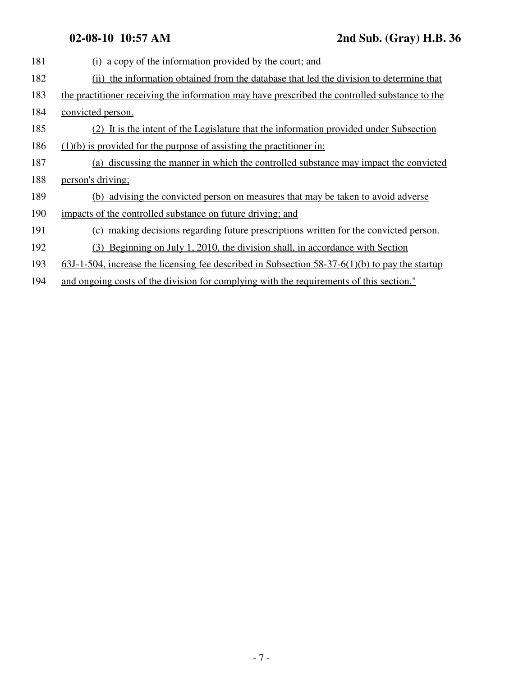| 181 | (i) a copy of the information provided by the court; and                                          |
|-----|---------------------------------------------------------------------------------------------------|
| 182 | the information obtained from the database that led the division to determine that<br>(ii)        |
| 183 | the practitioner receiving the information may have prescribed the controlled substance to the    |
| 184 | convicted person.                                                                                 |
| 185 | (2) It is the intent of the Legislature that the information provided under Subsection            |
| 186 | $(1)(b)$ is provided for the purpose of assisting the practitioner in:                            |
| 187 | (a) discussing the manner in which the controlled substance may impact the convicted              |
| 188 | person's driving;                                                                                 |
| 189 | (b) advising the convicted person on measures that may be taken to avoid adverse                  |
| 190 | impacts of the controlled substance on future driving; and                                        |
| 191 | (c) making decisions regarding future prescriptions written for the convicted person.             |
| 192 | (3) Beginning on July 1, 2010, the division shall, in accordance with Section                     |
| 193 | $63J-1-504$ , increase the licensing fee described in Subsection 58-37-6(1)(b) to pay the startup |
| 194 | and ongoing costs of the division for complying with the requirements of this section."           |